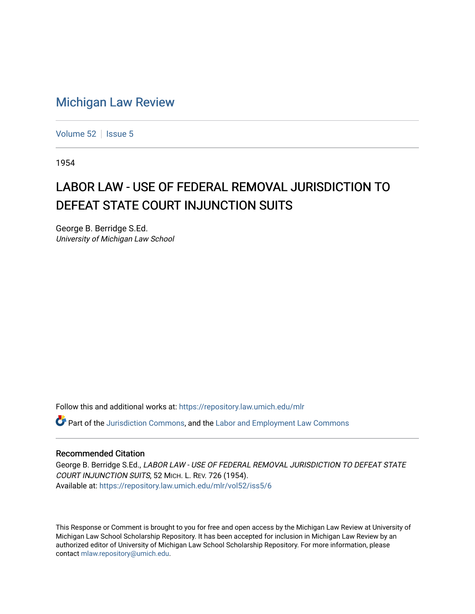# [Michigan Law Review](https://repository.law.umich.edu/mlr)

[Volume 52](https://repository.law.umich.edu/mlr/vol52) | [Issue 5](https://repository.law.umich.edu/mlr/vol52/iss5)

1954

# LABOR LAW - USE OF FEDERAL REMOVAL JURISDICTION TO DEFEAT STATE COURT INJUNCTION SUITS

George B. Berridge S.Ed. University of Michigan Law School

Follow this and additional works at: [https://repository.law.umich.edu/mlr](https://repository.law.umich.edu/mlr?utm_source=repository.law.umich.edu%2Fmlr%2Fvol52%2Fiss5%2F6&utm_medium=PDF&utm_campaign=PDFCoverPages) 

**C** Part of the [Jurisdiction Commons](http://network.bepress.com/hgg/discipline/850?utm_source=repository.law.umich.edu%2Fmlr%2Fvol52%2Fiss5%2F6&utm_medium=PDF&utm_campaign=PDFCoverPages), and the [Labor and Employment Law Commons](http://network.bepress.com/hgg/discipline/909?utm_source=repository.law.umich.edu%2Fmlr%2Fvol52%2Fiss5%2F6&utm_medium=PDF&utm_campaign=PDFCoverPages)

#### Recommended Citation

George B. Berridge S.Ed., LABOR LAW - USE OF FEDERAL REMOVAL JURISDICTION TO DEFEAT STATE COURT INJUNCTION SUITS, 52 MICH. L. REV. 726 (1954). Available at: [https://repository.law.umich.edu/mlr/vol52/iss5/6](https://repository.law.umich.edu/mlr/vol52/iss5/6?utm_source=repository.law.umich.edu%2Fmlr%2Fvol52%2Fiss5%2F6&utm_medium=PDF&utm_campaign=PDFCoverPages)

This Response or Comment is brought to you for free and open access by the Michigan Law Review at University of Michigan Law School Scholarship Repository. It has been accepted for inclusion in Michigan Law Review by an authorized editor of University of Michigan Law School Scholarship Repository. For more information, please contact [mlaw.repository@umich.edu](mailto:mlaw.repository@umich.edu).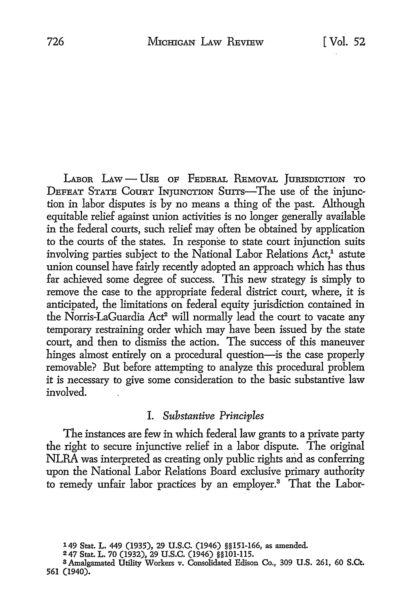LABOR LAW - USE OF FEDERAL REMOVAL JURISDICTION TO DEFEAT STATE COURT INJUNCTION SUITS-The use of the injunction in labor disputes is by no means a thing of the past. Although equitable relief against union activities is no longer generally available in the federal courts, such relief may often be obtained by application to the courts of the states. In response to state court injunction suits involving parties subject to the National Labor Relations Act,<sup>1</sup> astute union counsel have fairly recently adopted an approach which has thus far achieved some degree of success. This new strategy is simply to remove the case to the appropriate federal district court, where, it is anticipated, the limitations on federal equity jurisdiction contained in the Norris-LaGuardia Act<sup>2</sup> will normally lead the court to vacate any temporary restraining order which may have been issued by the state court, and then to dismiss the action. The success of this maneuver hinges almost entirely on a procedural question-is the case properly removable? But before attempting to analyze this procedural problem it is necessary to give some consideration to the basic substantive law involved.

## I. *Substantive Principles*

The instances are few in which federal law grants to a private party the right to secure injunctive relief in a labor dispute. The original NLM was interpreted as creating only public rights and as conferring upon the National Labor Relations Board exclusive primary authority to remedy unfair labor practices by an employer.3 That the Labor-

<sup>149</sup> Stat. L. 449 (1935), 29 U.S.C. (1946) §§151-166, as amended.

<sup>247</sup> Stat. L. 70 (1932), 29 U.S.C. (1946) §§101-115.

<sup>&</sup>lt;sup>3</sup> Amalgamated Utility Workers v. Consolidated Edison Co., 309 U.S. 261, 60 S.Ct. 561 (1940).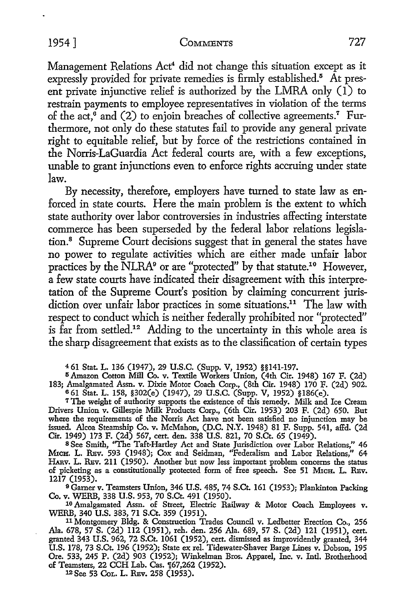#### 1954] COMMENTS 727

Management Relations Act<sup>4</sup> did not change this situation except as it expressly provided for private remedies is firmly established.<sup>5</sup> At present private injunctive relief is authorized by the LMRA only (1) *to*  restrain payments *to* employee representatives in violation of the terms of the act,<sup>6</sup> and (2) to enjoin breaches of collective agreements.<sup>7</sup> Furthermore, not only do these statutes fail *to* provide any general private right *to* equitable relief, but by force of the restrictions contained in the Norris-LaGuardia *Act* federal courts are, with a few exceptions, unable *to* grant injunctions even *to* enforce rights accruing under state law.

By necessity, therefore, employers have turned *to* state law as enforced in state courts. Here the main problem is the extent to which state authority over labor controversies in industries affecting interstate commerce has been superseded by the federal labor relations legislation. 8 Supreme Court decisions suggest that in general the states have no power *to* regulate activities which are either made unfair labor practices by the NLRA<sup>9</sup> or are "protected" by that statute.<sup>10</sup> However, a few state courts have indicated their disagreement with this interpretation of the Supreme Court's position by claiming concurrent jurisdiction over unfair labor practices in some situations.<sup>11</sup> The law with respect *to* conduct which is neither federally prohibited nor "protected" is far from settled.12 Adding *to* the uncertainty in this whole area is the sharp disagreement that exists as to the classification of certain types

<sup>4</sup>61 Stat. L. 136 (1947), 29 U.S.C. (Supp. V, 1952) §§141-197.

**<sup>5</sup>**Amazon Cotton **Mill Co. v.** Textile Workers Union, ( 4th Cir. 1948) 167 F. (2d) 183; Amalgamated Assn. v. Dixie Motor Coach Corp., (8th Cir. 1948) 170 F. (2d) 902. <sup>6</sup> 61 Stat. L. 158, §302(e) (1947), 29 U.S.C. (Supp. V, 1952) §l86(e).

<sup>7</sup>The weight of authority supports the existence of this remedy. Milk and Ice Cream Drivers Union v. Gillespie Milk Products Corp., (6th Cir. 1953) 203 F. (2d) 650. But where the requirements of the Norris Act have not been satisfied no injunction may be issued. Alcoa Steamship Co. v. McMahon, (D.C. N.Y. 1948) 81 F. Supp. 541, alfd. (2d Cir. 1949) 173 F. (2d) 567, cert. den. 338 U.S. 821, 70 S.Ct. 65 (1949).

<sup>8</sup>See Smith, "The Taft-Hartley Act and State Jurisdiction over Labor Relations," 46 MICH. L. REv. 593 (1948); Cox and Seidman, "Federalism and Labor Relations," 64 HAnv. L. REv. 211 (1950). Another but now less important problem concerns the status of picketing as a constitutionally protected form of free speech. See 51 MICH. L. REV. 1217 (1953).

<sup>9</sup>Gamer v. Teamsters Union, 346 U.S. 485, 74 S.Ct. 161 (1953); Plankinton Packing Co. v. WERB, 338 U.S. 953, 70 S.Ct. 491 (1950).

10 Amalgamated Assn. of Street, Electric Railway & Motor Coach Employees v. WERB, 340 U.S. 383, 71 S.Ct. 359 (1951).

<sup>11</sup>Montgomery Bldg. & Construction Trades Council v. Ledbetter Erection Co., 256 Ala. 678, 57 S. (2d) 112 (1951), reh. den. 256 Ala. 689, 57 S. (2d) 121 (1951), cert. granted 343 U.S. 962, 72 S.Ct. 1061 (1952), cert. dismissed as improvidently granted, 344 U.S. 178, 73 S.Ct. 196 (1952); State ex rel. Tidewater-Shaver Barge Lines v. Dobson, 195 Ore. 533, 245 P. (2d) 903 (1952); Winkelman Bros. Apparel, Inc. v. Intl. Brotherhood of Teamsters, 22 CCH Lab. Cas. 167,262 (1952).

12 See 53 CoL. L. REv. 258 (1953).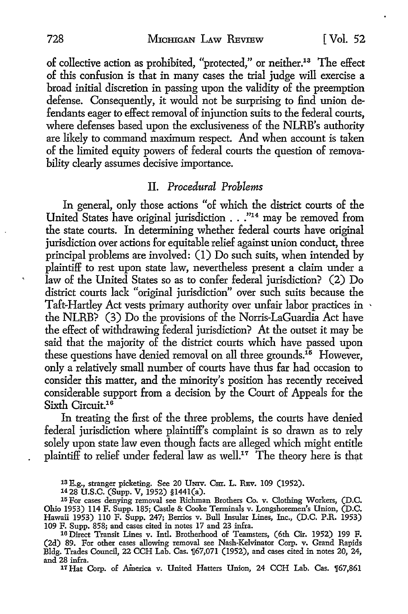of collective action as prohibited, "protected," or neither.13 The effect of this confusion is that in many cases the trial judge will exercise a broad initial discretion in passing upon the validity of the preemption defense. Consequently, it would not be surprising to find union defendants eager to effect removal of injunction suits to the federal courts, where defenses based upon the exclusiveness of the NLRB's authority are likely to command maximum respect. And when account is taken of the limited equity powers of federal courts the question of removability clearly assumes decisive importance.

### II. *Procedural Problems*

In general, only those actions "of which the district courts of the United States have original jurisdiction . . ."<sup>14</sup> may be removed from the state courts. In determining whether federal courts have original jurisdiction over actions for equitable relief against union conduct, three principal problems are involved: (I) Do such suits, when intended by plaintiff to rest upon state law, nevertheless present a claim under a law of the United States so as to confer federal jurisdiction? (2) Do district courts lack "original jurisdiction" over such suits because the Taft-Hartley Act vests primary authority over unfair labor practices in , the NLRB? (3) Do the provisions of the Norris-LaGuardia Act have the effect of withdrawing federal jurisdiction? At the outset it may be said that the majority of the district courts which have passed upon these questions have denied removal on all three grounds.15 However, only a relatively small number of courts have thus far had occasion to consider this matter, and the minority's position has recently received considerable support from a decision by the Court of Appeals for the Sixth Circuit.<sup>16</sup>

In treating the first of the three problems, the courts have denied federal jurisdiction where plaintiff's complaint is so drawn as to rely solely upon state law even though facts are alleged which might entitle plaintiff to relief under federal law as well.<sup>17</sup> The theory here is that

13 E.g., stranger picketing. See 20 Umv. Cm. L. REv. 109 (1952).

14 28 U.S.C. (Supp. V, 1952) §1441(a).

15 For cases denying removal see Richman Brothers Co. v. Clothing Workers, (D.C. Ohio 1953) 114 F. Supp. 185; Castle & Cooke Terminals v. Longshoremen's Union, (D.C. Hawaii 1953) 110 F. Supp. 247; Berrios v. Bull Insular Lines, Inc., (D.C. P.R. 1953)<br>109 F. Supp. 858; and cases cited in notes 17 and 23 infra.

<sup>16</sup> Direct Transit Lines v. Intl. Brotherhood of Teamsters, (6th Cir. 1952) 199 F. (2d) 89. For other cases allowing removal see Nash-Kelvinator Corp. v. Grand Rapids Bldg. Trades Council, 22 CCH Lab. Cas.  $\frac{67,071}{1}$  (1952), and cases cited in notes 20, 24, and 28 infra.

<sup>17</sup> Hat Corp. of America v. United Hatters Union, 24 CCH Lab. Cas. [67,861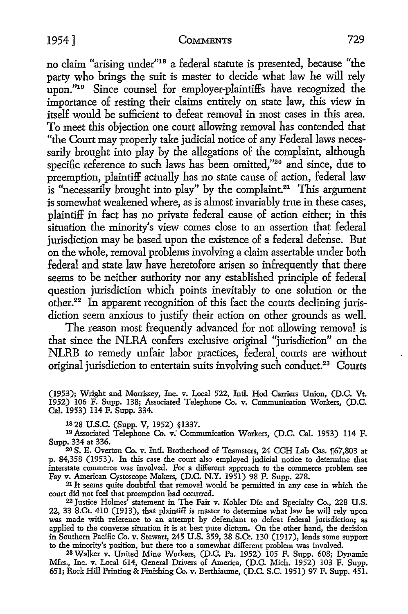#### 1954] COMMENTS 729

no claim "arising under"18 a federal statute is presented, because "the party who brings the suit is master to decide what law he will rely upon."<sup>19</sup> Since counsel for employer-plaintiffs have recognized the importance of resting their claims entirely on state law, this view in itself would be sufficient to defeat removal in most cases in this area. To meet this objection one court allowing removal has contended that "the Court may properly take judicial notice of any Federal laws necessarily brought into play by the allegations of the complaint, although specific reference to such laws has been omitted,"<sup>20</sup> and since, due to preemption, plaintiff actually has no state cause of action, federal law is "necessarily brought into play" by the complaint.<sup>21</sup> This argument is somewhat weakened where, as is almost invariably true in these cases, plaintiff in fact has no private federal cause of action either; in this situation the minority's view comes close to an assertion that federal jurisdiction may be based upon the existence of a federal defense. But on the whole, removal problems involving a claim assertable under both federal and state law have heretofore arisen so infrequently that there seems to be neither authority nor any established principle of federal question jurisdiction which points inevitably to one solution or the other.22 In apparent recognition of this fact the courts declining jurisdiction seem anxious to justify their action on other grounds as well.

The reason most frequently advanced for not allowing removal is that since the NLRA confers exclusive original "jurisdiction" on the NLRB to remedy unfair labor practices, federal courts are without original jurisdiction to entertain suits involving such conduct.23 Courts

(1953); Wright and Morrissey, Inc. v. Local 522, Intl. Hod Carriers Union, (D.C. Vt. 1952) 106 F. Supp. 138; Associated Telephone Co. v. Communication Workers, (D.C. Cal. 1953) 114 F. Supp. 334.

1s28 U.S.C. (Supp. V, 1952) §1337.

19 Associated Telephone Co. *v:* Communication Workers, (D.C. Cal. 1953) 114 F.

20 S. E. Overton Co. v. Intl. Brotherhood of Teamsters, 24 CCH Lab Cas. [167,803 at p. 84,358 (1953). In this case the court also employed judicial notice to determine that interstate commerce was involved. For a different approach to the commerce problem see<br>Fay v. American Cystoscope Makers, (D.C. N.Y. 1951) 98 F. Supp. 278.

<sup>21</sup> It seems quite doubtful that removal would be permitted in any case in which the court did not feel that preemption had occurred.

<sup>22</sup> Justice Holmes' statement in The Fair v. Kohler Die and Specialty Co., 228 U.S. 22, 33 S.Ct. 410 (1913), that plaintiff is master to determine what law he will rely upon was made with reference to an attempt by defendant to defeat federal jurisdiction; as applied to the converse situation it is at best pure dictum. On the other hand, the decision in Southern Pacific Co. v. Stewart, 245 U.S. 359, 38 S.Ct. 130 (1917), lends some support to the minority's position, but there too a somewhat different problem was involved. 23 Walker v. United Mine Workers, (D.C. Pa. 1952) 105 F. Supp. 608; Dynamic

Mfrs., Inc. v. Local 614, General Drivers of America, (D.C. Mich. 1952) 103 F. Supp. 651; Rock Hill Printing & Finishing Co. v. Berthiaume, (D.C. S.C. 1951) 97 F. Supp. 451.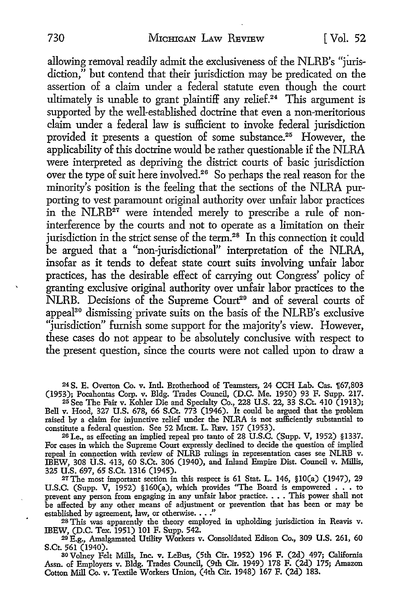allowing removal readily admit the exclusiveness of the NLRB's "jurisdiction," but contend that their jurisdiction may be predicated on the assertion of a claim under a federal statute even though the court ultimately is unable to grant plaintiff any relief.<sup>24</sup> This argument is supported by the well-established doctrine that even a non-meritorious claim under a federal law is sufficient to invoke federal jurisdiction provided it presents a question of some substance.25 However, the applicability of this doctrine would be rather questionable if the NLRA were interpreted as depriving the district courts of basic jurisdiction over the type of suit here involved.26 So perhaps the real reason for the minority's position is the feeling that the sections of the NLRA purporting to vest paramount original authority over unfair labor practices in the NLRB<sup>27</sup> were intended merely to prescribe a rule of noninterference by the courts and not to operate as a limitation on their jurisdiction in the strict sense of the term.<sup>28</sup> In this connection it could be argued that a "non-jurisdictional" interpretation of the NLRA, insofar as it tends to defeat state court suits involving unfair labor practices, has the desirable effect of carrying out Congress' policy of granting exclusive original authority over unfair labor practices to the NLRB. Decisions of the Supreme Court<sup>29</sup> and of several courts of appeal<sup>30</sup> dismissing private suits on the basis of the NLRB's exclusive "jurisdiction" furnish some support for the majority's view. However, these cases do not appear to be absolutely conclusive with respect to the present question, since the courts were not called upon to draw a

24 S. E. Overton Co. v. Intl. Brotherhood of Teamsters, 24 CCH Lab. Cas. 167,803 (1953); Pocahontas Corp. v. Bldg. Trades Council, (D.C. Me. 1950) 93 F. Supp. 217.

25 See The Fair v. Kohler Die and Specialty Co., 228 U.S. 22, 33 S.Ct. 410 (1913); Bell v. Hood, 327 U.S. 678, 66 S.Ct. 773 (1946). It could be argued that the problem raised by a claim for injunctive relief under the NLRA is not sufficiently substantial to constitute a federal question. See 52 MICH. L. REV. 157 (1953).

26 I.e., as effecting an implied repeal pro tanto of 28 U.S.C. (Supp. V, 1952) §1337. For cases in which the Supreme Court expressly declined to decide the question of implied repeal in connection with review of NLRB rulings in representation cases see NLRB v. IBEW, 308 U.S. 413, 60 S.Ct. 306 (1940), and Inland Empire Dist. Council v. Millis, 325 U.S. 697, 65 S.Ct. 1316 (1945).

 $27$  The most important section in this respect is 61 Stat. L. 146, §10(a) (1947), 29 21 The most important section in this respect is 61 Stat. L. 146, §10(a) (1947), 29<br>U.S.C. (Supp. V, 1952) §160(a), which provides "The Board is empowered  $\ldots$  to<br>prevent any person from engaging in any unfair labor pract be affected by any other means of adjustment or prevention that has been or may be established by agreement, law, or otherwise...."<br><sup>28</sup> This was apparently the theory employed in upholding jurisdiction in Reavis v.

!BEW, (D.C. Tex. 1951) 101 F. Supp. 542. 29 E.g., Amalgamated Utility Workers v. Consolidated Edison Co., 309 U.S. 261, 60

S.Ct. 561 (1940). ao Volney Felt Mills, Inc. v. LeBus, (5th Cir. 1952) 196 F. (2d) 497; California Assn. of Employers v. Bldg. Trades Council, (9th Cir. 1949) 178 F. (2d) 175; Amazon Cotton Mill Co. v. Textile Workers Union, (4th Cir. 1948) 167 F. (2d) 183.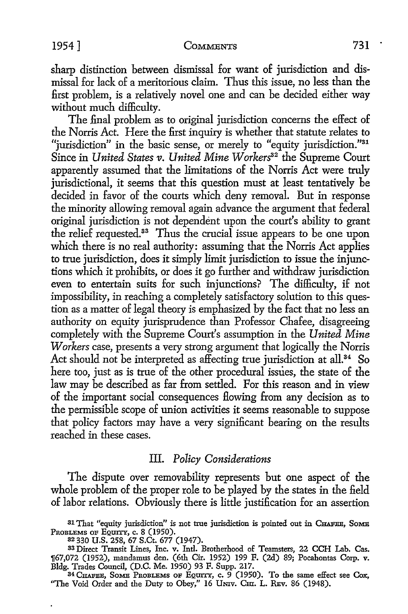sharp distinction between dismissal for want of jurisdiction and dismissal for lack of a meritorious claim. Thus this issue, no less than the first problem, is a relatively novel one and can be decided either way without much difficulty.

The final problem as to original jurisdiction concerns the effect of the Norris Act. Here the first inquiry is whether that statute relates to "jurisdiction" in the basic sense, or merely to "equity jurisdiction."<sup>31</sup> Since in *United States v. United Mine Workers*<sup>32</sup> the Supreme Court apparently assumed that the limitations of the Norris Act were truly jurisdictional, it seems that this question must at least tentatively be decided in favor of the courts which deny removal. But in response the minority allowing removal again advance the argument that federal original jurisdiction is not dependent upon the court's ability to grant the relief requested.<sup>33</sup> Thus the crucial issue appears to be one upon which there is no real authority: assuming that the Norris Act applies to true jurisdiction, does it simply limit jurisdiction to issue the injunctions which it prohibits, or does it go further and withdraw jurisdiction even to entertain suits for such injunctions? The difficulty, if not impossibility, in reaching a completely satisfactory solution to this question as a matter of legal theory is emphasized by the fact that no less an authority on equity jurisprudence than Professor Chafee, disagreeing completely with the Supreme Court's assumption in the *United Mine Workers* case, presents a very strong argument that logically the Norris Act should not be interpreted as affecting true jurisdiction at all.<sup>34</sup> So here too, just as is true of the other procedural issues, the state of the law may be described as far from settled. For this reason and in view of the important social consequences flowing from any decision as to the permissible scope of union activities it seems reasonable to suppose that policy factors may have a very significant bearing on the results reached in these cases.

# III. *Policy Considerations*

The dispute over removability represents but one aspect of the whole problem of the proper role to be played by the states in the field of labor relations. Obviously there is little justification for an assertion

<sup>31</sup> That "equity jurisdiction" is not true jurisdiction is pointed out in CHAFEE, SOME PROBLEMS OF EQUITY, c. 8 (1950).

a2 330 U.S. 258, 67 S.Ct. 677 (1947).

<sup>33</sup> Direct Transit Lines, Inc. v. Intl. Brotherhood of Teamsters, 22 CCH Lab. Cas. ,I67,072 (1952), mandamus den. (6th Cir. 1952) 199 F. (2d) 89; Pocahontas Corp. v. Bldg. Trades Council, (D.C. Me. 1950) 93 F. Supp. 217.<br><sup>34</sup> Снагвв, Sомв Рковьемs ог Еоитту, с. 9 (1950). To the same effect see Cox,

<sup>&</sup>quot;The Void Order and the Duty to Obey," 16 Umv. Cm. L. REv. 86 (1948).